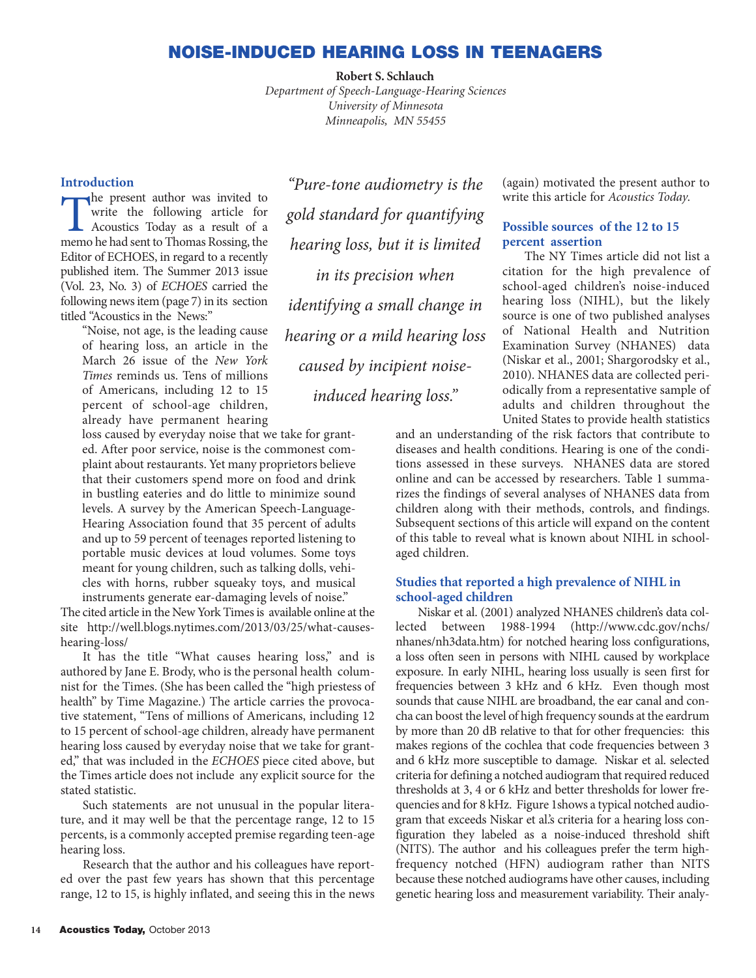## **NOISE-INDUCED HEARING LOSS IN TEENAGERS**

**Robert S. Schlauch**

*Department of Speech-Language-Hearing Sciences University of Minnesota Minneapolis, MN 55455*

## **Introduction**

The present author was invited to<br>write the following article for<br>Acoustics Today as a result of a<br>memo be had sent to Thomas Rossing the write the following article for Acoustics Today as a result of a memo he had sent to Thomas Rossing, the Editor of ECHOES, in regard to a recently published item. The Summer 2013 issue (Vol. 23, No. 3) of *ECHOES* carried the following news item (page 7) in its section titled "Acoustics in the News:"

"Noise, not age, is the leading cause of hearing loss, an article in the March 26 issue of the *New York Times* reminds us. Tens of millions of Americans, including 12 to 15 percent of school-age children, already have permanent hearing

loss caused by everyday noise that we take for granted. After poor service, noise is the commonest complaint about restaurants. Yet many proprietors believe that their customers spend more on food and drink in bustling eateries and do little to minimize sound levels. A survey by the American Speech-Language-Hearing Association found that 35 percent of adults and up to 59 percent of teenages reported listening to portable music devices at loud volumes. Some toys meant for young children, such as talking dolls, vehicles with horns, rubber squeaky toys, and musical instruments generate ear-damaging levels of noise."

The cited article in the New York Times is available online at the site http://well.blogs.nytimes.com/2013/03/25/what-causeshearing-loss/

It has the title "What causes hearing loss," and is authored by Jane E. Brody, who is the personal health columnist for the Times. (She has been called the "high priestess of health" by Time Magazine.) The article carries the provocative statement, "Tens of millions of Americans, including 12 to 15 percent of school-age children, already have permanent hearing loss caused by everyday noise that we take for granted," that was included in the *ECHOES* piece cited above, but the Times article does not include any explicit source for the stated statistic.

Such statements are not unusual in the popular literature, and it may well be that the percentage range, 12 to 15 percents, is a commonly accepted premise regarding teen-age hearing loss.

Research that the author and his colleagues have reported over the past few years has shown that this percentage range, 12 to 15, is highly inflated, and seeing this in the news

*"Pure-tone audiometry is the gold standard for quantifying hearing loss, but it is limited in its precision when identifying a small change in hearing or a mild hearing loss caused by incipient noiseinduced hearing loss."*

(again) motivated the present author to write this article for *Acoustics Today*.

## **Possible sources of the 12 to 15 percent assertion**

The NY Times article did not list a citation for the high prevalence of school-aged children's noise-induced hearing loss (NIHL), but the likely source is one of two published analyses of National Health and Nutrition Examination Survey (NHANES) data (Niskar et al., 2001; Shargorodsky et al., 2010). NHANES data are collected periodically from a representative sample of adults and children throughout the United States to provide health statistics

and an understanding of the risk factors that contribute to diseases and health conditions. Hearing is one of the conditions assessed in these surveys. NHANES data are stored online and can be accessed by researchers. Table 1 summarizes the findings of several analyses of NHANES data from children along with their methods, controls, and findings. Subsequent sections of this article will expand on the content of this table to reveal what is known about NIHL in schoolaged children.

## **Studies that reported a high prevalence of NIHL in school-aged children**

Niskar et al. (2001) analyzed NHANES children's data collected between 1988-1994 (http://www.cdc.gov/nchs/ nhanes/nh3data.htm) for notched hearing loss configurations, a loss often seen in persons with NIHL caused by workplace exposure. In early NIHL, hearing loss usually is seen first for frequencies between 3 kHz and 6 kHz. Even though most sounds that cause NIHL are broadband, the ear canal and concha can boost the level of high frequency sounds at the eardrum by more than 20 dB relative to that for other frequencies: this makes regions of the cochlea that code frequencies between 3 and 6 kHz more susceptible to damage. Niskar et al. selected criteria for defining a notched audiogram that required reduced thresholds at 3, 4 or 6 kHz and better thresholds for lower frequencies and for 8 kHz. Figure 1shows a typical notched audiogram that exceeds Niskar et al.'s criteria for a hearing loss configuration they labeled as a noise-induced threshold shift (NITS). The author and his colleagues prefer the term highfrequency notched (HFN) audiogram rather than NITS because these notched audiograms have other causes, including genetic hearing loss and measurement variability. Their analy-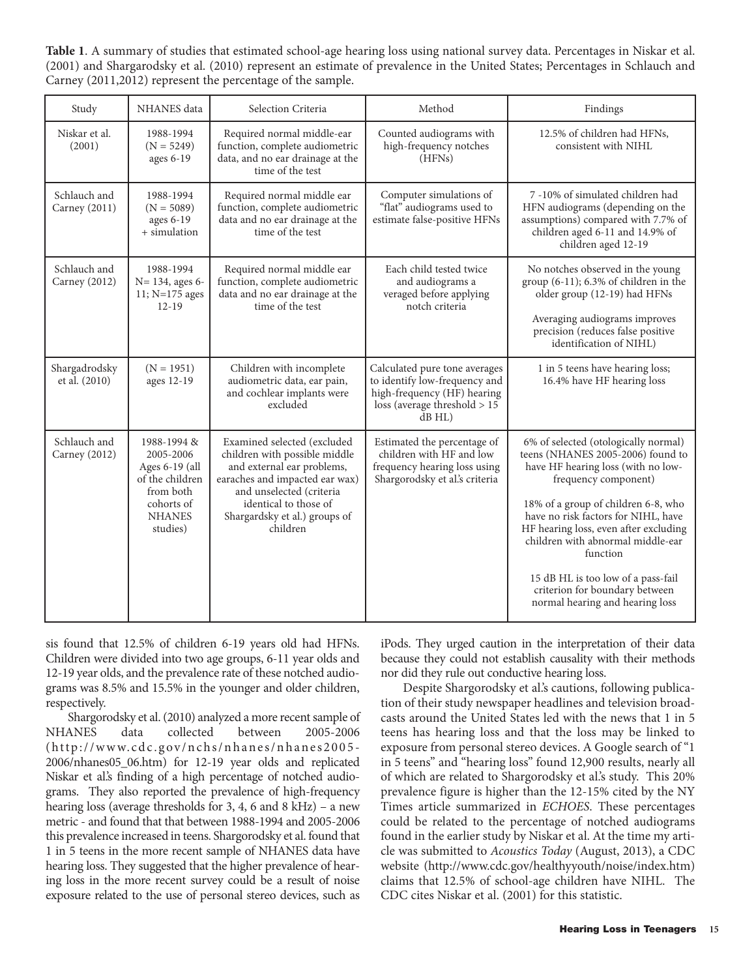**Table 1**. A summary of studies that estimated school-age hearing loss using national survey data. Percentages in Niskar et al. (2001) and Shargarodsky et al. (2010) represent an estimate of prevalence in the United States; Percentages in Schlauch and Carney (2011,2012) represent the percentage of the sample.

| Study                                | <b>NHANES</b> data                                                                                                    | Selection Criteria                                                                                                                                                                                                             | Method                                                                                                                                         | Findings                                                                                                                                                                                                                                                                                                                                                                                                                   |
|--------------------------------------|-----------------------------------------------------------------------------------------------------------------------|--------------------------------------------------------------------------------------------------------------------------------------------------------------------------------------------------------------------------------|------------------------------------------------------------------------------------------------------------------------------------------------|----------------------------------------------------------------------------------------------------------------------------------------------------------------------------------------------------------------------------------------------------------------------------------------------------------------------------------------------------------------------------------------------------------------------------|
| Niskar et al.<br>(2001)              | 1988-1994<br>$(N = 5249)$<br>ages 6-19                                                                                | Required normal middle-ear<br>function, complete audiometric<br>data, and no ear drainage at the<br>time of the test                                                                                                           | Counted audiograms with<br>high-frequency notches<br>(HFNs)                                                                                    | 12.5% of children had HFNs,<br>consistent with NIHL                                                                                                                                                                                                                                                                                                                                                                        |
| Schlauch and<br>Carney (2011)        | 1988-1994<br>$(N = 5089)$<br>ages 6-19<br>+ simulation                                                                | Required normal middle ear<br>function, complete audiometric<br>data and no ear drainage at the<br>time of the test                                                                                                            | Computer simulations of<br>"flat" audiograms used to<br>estimate false-positive HFNs                                                           | 7 -10% of simulated children had<br>HFN audiograms (depending on the<br>assumptions) compared with 7.7% of<br>children aged 6-11 and 14.9% of<br>children aged 12-19                                                                                                                                                                                                                                                       |
| Schlauch and<br><b>Carney</b> (2012) | 1988-1994<br>N= 134, ages 6-<br>11; $N=175$ ages<br>$12 - 19$                                                         | Required normal middle ear<br>function, complete audiometric<br>data and no ear drainage at the<br>time of the test                                                                                                            | Each child tested twice<br>and audiograms a<br>veraged before applying<br>notch criteria                                                       | No notches observed in the young<br>group $(6-11)$ ; 6.3% of children in the<br>older group (12-19) had HFNs<br>Averaging audiograms improves<br>precision (reduces false positive<br>identification of NIHL)                                                                                                                                                                                                              |
| Shargadrodsky<br>et al. (2010)       | $(N = 1951)$<br>ages 12-19                                                                                            | Children with incomplete<br>audiometric data, ear pain,<br>and cochlear implants were<br>excluded                                                                                                                              | Calculated pure tone averages<br>to identify low-frequency and<br>high-frequency (HF) hearing<br>loss (average threshold $> 15$<br>$dB$ HL $)$ | 1 in 5 teens have hearing loss;<br>16.4% have HF hearing loss                                                                                                                                                                                                                                                                                                                                                              |
| Schlauch and<br><b>Carney</b> (2012) | 1988-1994 &<br>2005-2006<br>Ages 6-19 (all<br>of the children<br>from both<br>cohorts of<br><b>NHANES</b><br>studies) | Examined selected (excluded<br>children with possible middle<br>and external ear problems,<br>earaches and impacted ear wax)<br>and unselected (criteria<br>identical to those of<br>Shargardsky et al.) groups of<br>children | Estimated the percentage of<br>children with HF and low<br>frequency hearing loss using<br>Shargorodsky et al's criteria                       | 6% of selected (otologically normal)<br>teens (NHANES 2005-2006) found to<br>have HF hearing loss (with no low-<br>frequency component)<br>18% of a group of children 6-8, who<br>have no risk factors for NIHL, have<br>HF hearing loss, even after excluding<br>children with abnormal middle-ear<br>function<br>15 dB HL is too low of a pass-fail<br>criterion for boundary between<br>normal hearing and hearing loss |

sis found that 12.5% of children 6-19 years old had HFNs. Children were divided into two age groups, 6-11 year olds and 12-19 year olds, and the prevalence rate of these notched audiograms was 8.5% and 15.5% in the younger and older children, respectively.

Shargorodsky et al. (2010) analyzed a more recent sample of NHANES data collected between 2005-2006  $(http://www.cdc.gov/nchs/nhanes/nhanes2005-$ 2006/nhanes05\_06.htm) for 12-19 year olds and replicated Niskar et al.'s finding of a high percentage of notched audiograms. They also reported the prevalence of high-frequency hearing loss (average thresholds for 3, 4, 6 and 8 kHz) – a new metric - and found that that between 1988-1994 and 2005-2006 this prevalence increased in teens. Shargorodsky et al. found that 1 in 5 teens in the more recent sample of NHANES data have hearing loss. They suggested that the higher prevalence of hearing loss in the more recent survey could be a result of noise exposure related to the use of personal stereo devices, such as

iPods. They urged caution in the interpretation of their data because they could not establish causality with their methods nor did they rule out conductive hearing loss.

Despite Shargorodsky et al.'s cautions, following publication of their study newspaper headlines and television broadcasts around the United States led with the news that 1 in 5 teens has hearing loss and that the loss may be linked to exposure from personal stereo devices. A Google search of "1 in 5 teens" and "hearing loss" found 12,900 results, nearly all of which are related to Shargorodsky et al.'s study. This 20% prevalence figure is higher than the 12-15% cited by the NY Times article summarized in *ECHOES*. These percentages could be related to the percentage of notched audiograms found in the earlier study by Niskar et al. At the time my article was submitted to *Acoustics Today* (August, 2013), a CDC website (http://www.cdc.gov/healthyyouth/noise/index.htm) claims that 12.5% of school-age children have NIHL. The CDC cites Niskar et al. (2001) for this statistic.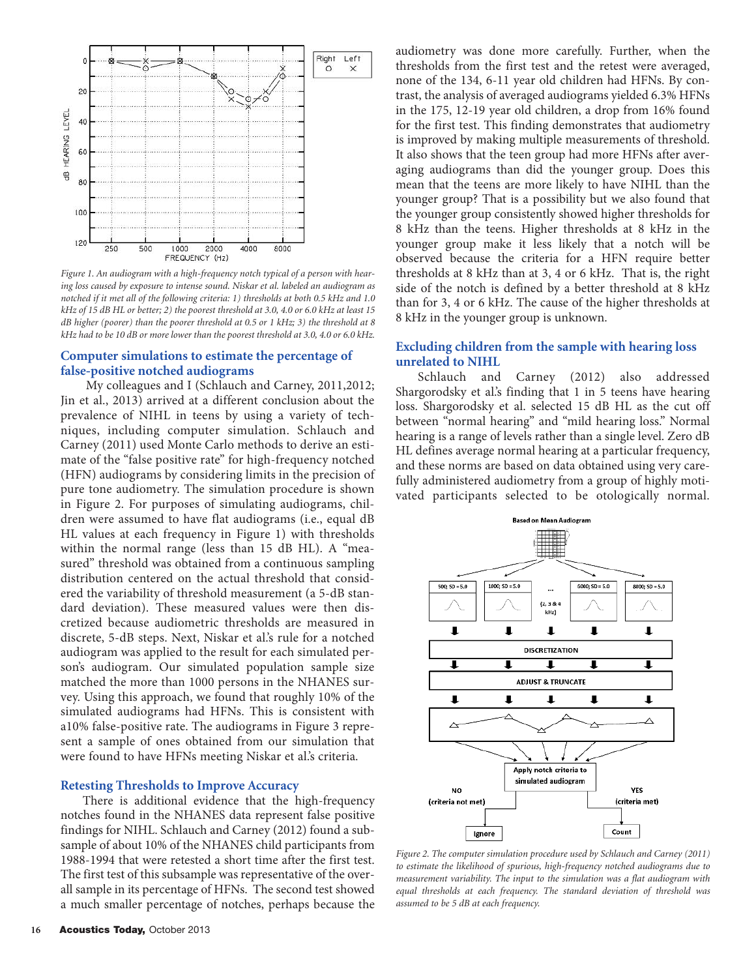

*Figure 1. An audiogram with a high-frequency notch typical of a person with hearing loss caused by exposure to intense sound. Niskar et al. labeled an audiogram as notched if it met all of the following criteria: 1) thresholds at both 0.5 kHz and 1.0 kHz of 15 dB HL or better; 2) the poorest threshold at 3.0, 4.0 or 6.0 kHz at least 15 dB higher (poorer) than the poorer threshold at 0.5 or 1 kHz; 3) the threshold at 8 kHz had to be 10 dB or more lower than the poorest threshold at 3.0, 4.0 or 6.0 kHz.* 

## **Computer simulations to estimate the percentage of false-positive notched audiograms**

My colleagues and I (Schlauch and Carney, 2011,2012; Jin et al., 2013) arrived at a different conclusion about the prevalence of NIHL in teens by using a variety of techniques, including computer simulation. Schlauch and Carney (2011) used Monte Carlo methods to derive an estimate of the "false positive rate" for high-frequency notched (HFN) audiograms by considering limits in the precision of pure tone audiometry. The simulation procedure is shown in Figure 2. For purposes of simulating audiograms, children were assumed to have flat audiograms (i.e., equal dB HL values at each frequency in Figure 1) with thresholds within the normal range (less than 15 dB HL). A "measured" threshold was obtained from a continuous sampling distribution centered on the actual threshold that considered the variability of threshold measurement (a 5-dB standard deviation). These measured values were then discretized because audiometric thresholds are measured in discrete, 5-dB steps. Next, Niskar et al.'s rule for a notched audiogram was applied to the result for each simulated person's audiogram. Our simulated population sample size matched the more than 1000 persons in the NHANES survey. Using this approach, we found that roughly 10% of the simulated audiograms had HFNs. This is consistent with a10% false-positive rate. The audiograms in Figure 3 represent a sample of ones obtained from our simulation that were found to have HFNs meeting Niskar et al.'s criteria.

#### **Retesting Thresholds to Improve Accuracy**

There is additional evidence that the high-frequency notches found in the NHANES data represent false positive findings for NIHL. Schlauch and Carney (2012) found a subsample of about 10% of the NHANES child participants from 1988-1994 that were retested a short time after the first test. The first test of this subsample was representative of the overall sample in its percentage of HFNs. The second test showed a much smaller percentage of notches, perhaps because the

audiometry was done more carefully. Further, when the thresholds from the first test and the retest were averaged, none of the 134, 6-11 year old children had HFNs. By contrast, the analysis of averaged audiograms yielded 6.3% HFNs in the 175, 12-19 year old children, a drop from 16% found for the first test. This finding demonstrates that audiometry is improved by making multiple measurements of threshold. It also shows that the teen group had more HFNs after averaging audiograms than did the younger group. Does this mean that the teens are more likely to have NIHL than the younger group? That is a possibility but we also found that the younger group consistently showed higher thresholds for 8 kHz than the teens. Higher thresholds at 8 kHz in the younger group make it less likely that a notch will be observed because the criteria for a HFN require better thresholds at 8 kHz than at 3, 4 or 6 kHz. That is, the right side of the notch is defined by a better threshold at 8 kHz than for 3, 4 or 6 kHz. The cause of the higher thresholds at 8 kHz in the younger group is unknown.

# **Excluding children from the sample with hearing loss unrelated to NIHL**

Carney (2012) also addressed Shargorodsky et al.'s finding that 1 in 5 teens have hearing loss. Shargorodsky et al. selected 15 dB HL as the cut off between "normal hearing" and "mild hearing loss." Normal hearing is a range of levels rather than a single level. Zero dB HL defines average normal hearing at a particular frequency, and these norms are based on data obtained using very carefully administered audiometry from a group of highly motivated participants selected to be otologically normal.



*Figure 2. The computer simulation procedure used by Schlauch and Carney (2011) to estimate the likelihood of spurious, high-frequency notched audiograms due to measurement variability. The input to the simulation was a flat audiogram with equal thresholds at each frequency. The standard deviation of threshold was assumed to be 5 dB at each frequency.*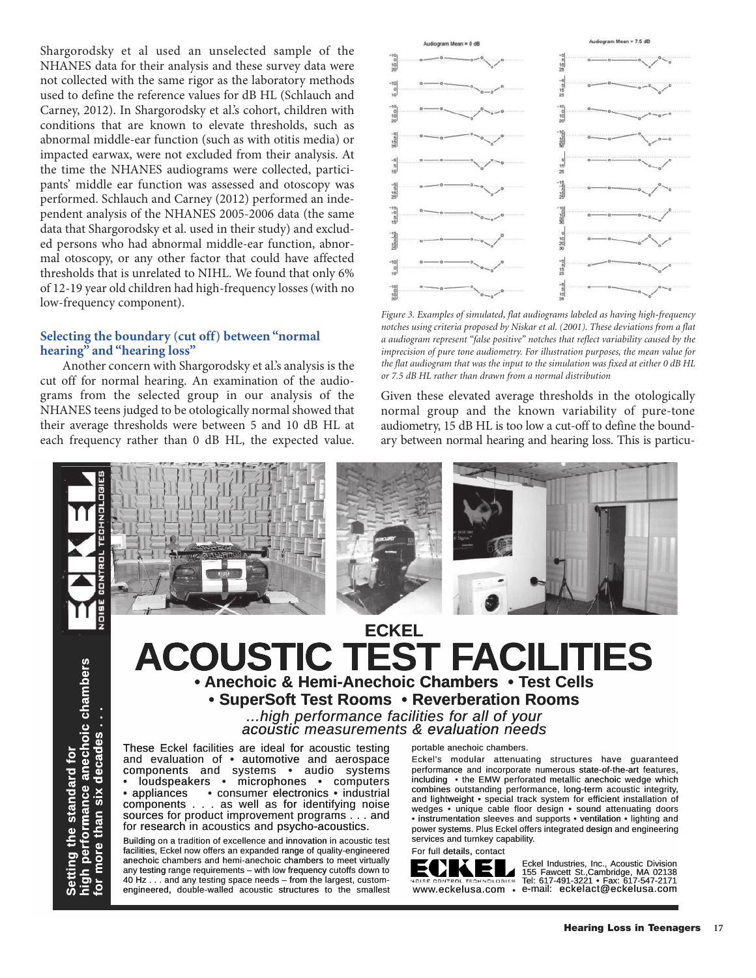Shargorodsky et al used an unselected sample of the NHANES data for their analysis and these survey data were not collected with the same rigor as the laboratory methods used to define the reference values for dB HL (Schlauch and Carney, 2012). In Shargorodsky et al.'s cohort, children with conditions that are known to elevate thresholds, such as abnormal middle-ear function (such as with otitis media) or impacted earwax, were not excluded from their analysis. At the time the NHANES audiograms were collected, participants' middle ear function was assessed and otoscopy was performed. Schlauch and Carney (2012) performed an independent analysis of the NHANES 2005-2006 data (the same data that Shargorodsky et al. used in their study) and excluded persons who had abnormal middle-ear function, abnormal otoscopy, or any other factor that could have affected thresholds that is unrelated to NIHL. We found that only 6% of 12-19 year old children had high-frequency losses (with no low-frequency component).

## **Selecting the boundary (cut off) between "normal hearing" and "hearing loss"**

Another concern with Shargorodsky et al.'s analysis is the cut off for normal hearing. An examination of the audiograms from the selected group in our analysis of the NHANES teens judged to be otologically normal showed that their average thresholds were between 5 and 10 dB HL at each frequency rather than 0 dB HL, the expected value.



*Figure 3. Examples of simulated, flat audiograms labeled as having high-frequency notches using criteria proposed by Niskar et al. (2001). These deviations from a flat a audiogram represent "false positive" notches that reflect variability caused by the imprecision of pure tone audiometry. For illustration purposes, the mean value for the flat audiogram that was the input to the simulation was fixed at either 0 dB HL or 7.5 dB HL rather than drawn from a normal distribution* 

Given these elevated average thresholds in the otologically normal group and the known variability of pure-tone audiometry, 15 dB HL is too low a cut-off to define the boundary between normal hearing and hearing loss. This is particu-